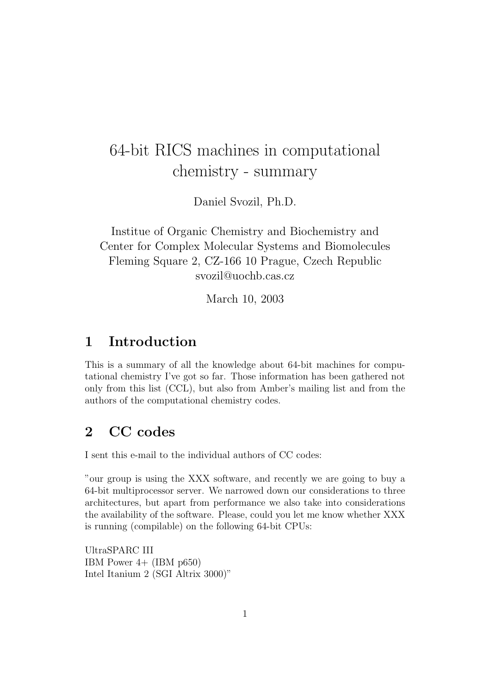# 64-bit RICS machines in computational chemistry - summary

Daniel Svozil, Ph.D.

Institue of Organic Chemistry and Biochemistry and Center for Complex Molecular Systems and Biomolecules Fleming Square 2, CZ-166 10 Prague, Czech Republic svozil@uochb.cas.cz

March 10, 2003

## 1 Introduction

This is a summary of all the knowledge about 64-bit machines for computational chemistry I've got so far. Those information has been gathered not only from this list (CCL), but also from Amber's mailing list and from the authors of the computational chemistry codes.

## 2 CC codes

I sent this e-mail to the individual authors of CC codes:

"our group is using the XXX software, and recently we are going to buy a 64-bit multiprocessor server. We narrowed down our considerations to three architectures, but apart from performance we also take into considerations the availability of the software. Please, could you let me know whether XXX is running (compilable) on the following 64-bit CPUs:

UltraSPARC III IBM Power 4+ (IBM p650) Intel Itanium 2 (SGI Altrix 3000)"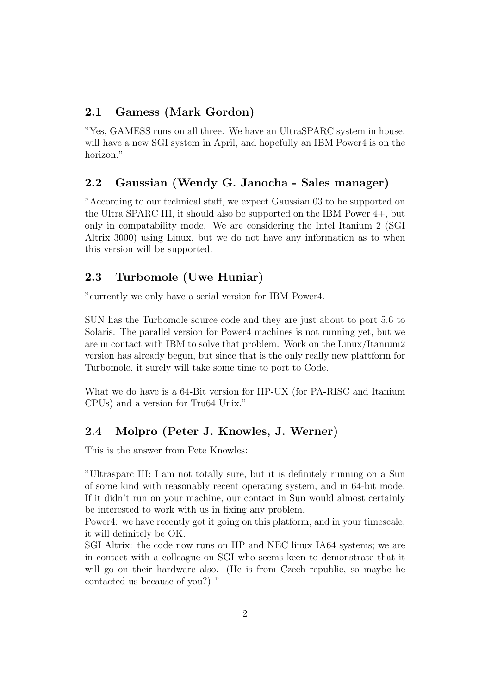#### 2.1 Gamess (Mark Gordon)

"Yes, GAMESS runs on all three. We have an UltraSPARC system in house, will have a new SGI system in April, and hopefully an IBM Power4 is on the horizon."

#### 2.2 Gaussian (Wendy G. Janocha - Sales manager)

"According to our technical staff, we expect Gaussian 03 to be supported on the Ultra SPARC III, it should also be supported on the IBM Power 4+, but only in compatability mode. We are considering the Intel Itanium 2 (SGI Altrix 3000) using Linux, but we do not have any information as to when this version will be supported.

#### 2.3 Turbomole (Uwe Huniar)

"currently we only have a serial version for IBM Power4.

SUN has the Turbomole source code and they are just about to port 5.6 to Solaris. The parallel version for Power4 machines is not running yet, but we are in contact with IBM to solve that problem. Work on the Linux/Itanium2 version has already begun, but since that is the only really new plattform for Turbomole, it surely will take some time to port to Code.

What we do have is a 64-Bit version for HP-UX (for PA-RISC and Itanium CPUs) and a version for Tru64 Unix."

#### 2.4 Molpro (Peter J. Knowles, J. Werner)

This is the answer from Pete Knowles:

"Ultrasparc III: I am not totally sure, but it is definitely running on a Sun of some kind with reasonably recent operating system, and in 64-bit mode. If it didn't run on your machine, our contact in Sun would almost certainly be interested to work with us in fixing any problem.

Power4: we have recently got it going on this platform, and in your timescale, it will definitely be OK.

SGI Altrix: the code now runs on HP and NEC linux IA64 systems; we are in contact with a colleague on SGI who seems keen to demonstrate that it will go on their hardware also. (He is from Czech republic, so maybe he contacted us because of you?) "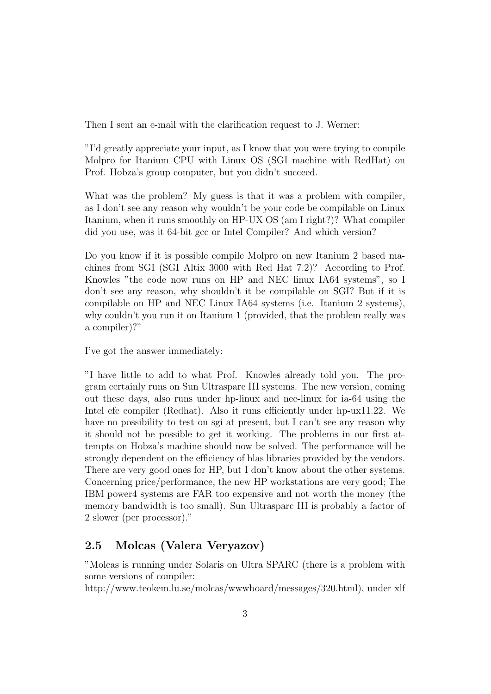Then I sent an e-mail with the clarification request to J. Werner:

"I'd greatly appreciate your input, as I know that you were trying to compile Molpro for Itanium CPU with Linux OS (SGI machine with RedHat) on Prof. Hobza's group computer, but you didn't succeed.

What was the problem? My guess is that it was a problem with compiler, as I don't see any reason why wouldn't be your code be compilable on Linux Itanium, when it runs smoothly on HP-UX OS (am I right?)? What compiler did you use, was it 64-bit gcc or Intel Compiler? And which version?

Do you know if it is possible compile Molpro on new Itanium 2 based machines from SGI (SGI Altix 3000 with Red Hat 7.2)? According to Prof. Knowles "the code now runs on HP and NEC linux IA64 systems", so I don't see any reason, why shouldn't it be compilable on SGI? But if it is compilable on HP and NEC Linux IA64 systems (i.e. Itanium 2 systems), why couldn't you run it on Itanium 1 (provided, that the problem really was a compiler)?"

I've got the answer immediately:

"I have little to add to what Prof. Knowles already told you. The program certainly runs on Sun Ultrasparc III systems. The new version, coming out these days, also runs under hp-linux and nec-linux for ia-64 using the Intel efc compiler (Redhat). Also it runs efficiently under hp-ux11.22. We have no possibility to test on sgi at present, but I can't see any reason why it should not be possible to get it working. The problems in our first attempts on Hobza's machine should now be solved. The performance will be strongly dependent on the efficiency of blas libraries provided by the vendors. There are very good ones for HP, but I don't know about the other systems. Concerning price/performance, the new HP workstations are very good; The IBM power4 systems are FAR too expensive and not worth the money (the memory bandwidth is too small). Sun Ultrasparc III is probably a factor of 2 slower (per processor)."

#### 2.5 Molcas (Valera Veryazov)

"Molcas is running under Solaris on Ultra SPARC (there is a problem with some versions of compiler:

http://www.teokem.lu.se/molcas/wwwboard/messages/320.html), under xlf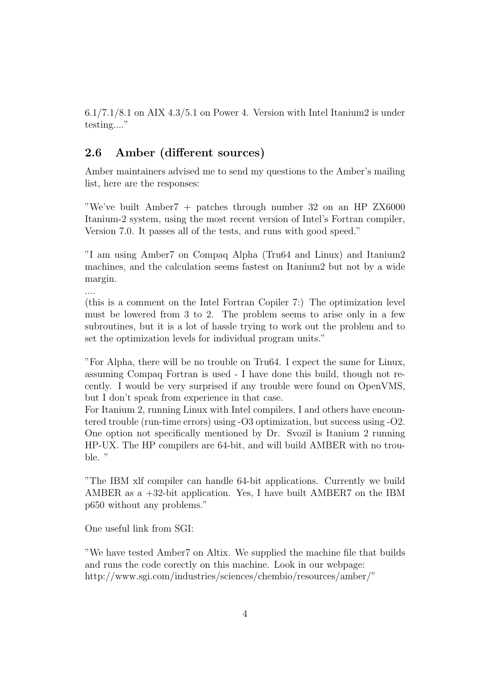6.1/7.1/8.1 on AIX 4.3/5.1 on Power 4. Version with Intel Itanium2 is under testing...."

#### 2.6 Amber (different sources)

Amber maintainers advised me to send my questions to the Amber's mailing list, here are the responses:

"We've built Amber7 + patches through number 32 on an HP ZX6000 Itanium-2 system, using the most recent version of Intel's Fortran compiler, Version 7.0. It passes all of the tests, and runs with good speed."

"I am using Amber7 on Compaq Alpha (Tru64 and Linux) and Itanium2 machines, and the calculation seems fastest on Itanium2 but not by a wide margin.

....

(this is a comment on the Intel Fortran Copiler 7:) The optimization level must be lowered from 3 to 2. The problem seems to arise only in a few subroutines, but it is a lot of hassle trying to work out the problem and to set the optimization levels for individual program units."

"For Alpha, there will be no trouble on Tru64. I expect the same for Linux, assuming Compaq Fortran is used - I have done this build, though not recently. I would be very surprised if any trouble were found on OpenVMS, but I don't speak from experience in that case.

For Itanium 2, running Linux with Intel compilers, I and others have encountered trouble (run-time errors) using -O3 optimization, but success using -O2. One option not specifically mentioned by Dr. Svozil is Itanium 2 running HP-UX. The HP compilers are 64-bit, and will build AMBER with no trouble. "

"The IBM xlf compiler can handle 64-bit applications. Currently we build AMBER as a +32-bit application. Yes, I have built AMBER7 on the IBM p650 without any problems."

One useful link from SGI:

"We have tested Amber7 on Altix. We supplied the machine file that builds and runs the code corectly on this machine. Look in our webpage: http://www.sgi.com/industries/sciences/chembio/resources/amber/"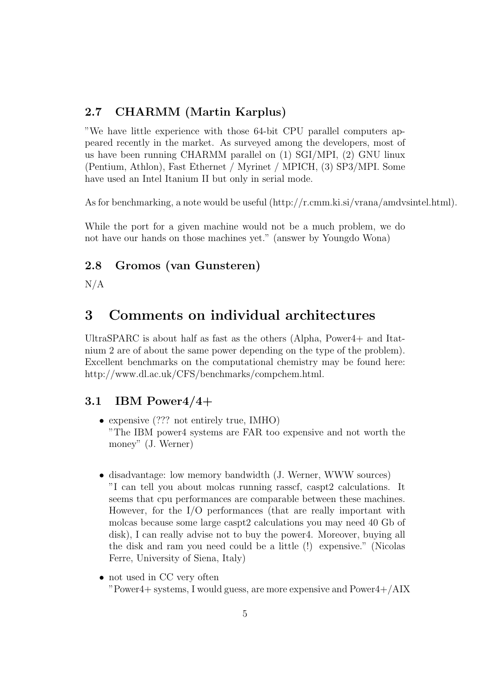#### 2.7 CHARMM (Martin Karplus)

"We have little experience with those 64-bit CPU parallel computers appeared recently in the market. As surveyed among the developers, most of us have been running CHARMM parallel on (1) SGI/MPI, (2) GNU linux (Pentium, Athlon), Fast Ethernet / Myrinet / MPICH, (3) SP3/MPI. Some have used an Intel Itanium II but only in serial mode.

As for benchmarking, a note would be useful (http://r.cmm.ki.si/vrana/amdvsintel.html).

While the port for a given machine would not be a much problem, we do not have our hands on those machines yet." (answer by Youngdo Wona)

#### 2.8 Gromos (van Gunsteren)

 $N/A$ 

## 3 Comments on individual architectures

UltraSPARC is about half as fast as the others (Alpha, Power4+ and Itatnium 2 are of about the same power depending on the type of the problem). Excellent benchmarks on the computational chemistry may be found here: http://www.dl.ac.uk/CFS/benchmarks/compchem.html.

#### 3.1 IBM Power4/4+

- expensive (??? not entirely true, IMHO) "The IBM power4 systems are FAR too expensive and not worth the money" (J. Werner)
- disadvantage: low memory bandwidth (J. Werner, WWW sources) "I can tell you about molcas running rasscf, caspt2 calculations. It seems that cpu performances are comparable between these machines. However, for the I/O performances (that are really important with molcas because some large caspt2 calculations you may need 40 Gb of disk), I can really advise not to buy the power4. Moreover, buying all the disk and ram you need could be a little (!) expensive." (Nicolas Ferre, University of Siena, Italy)
- not used in CC very often "Power4+ systems, I would guess, are more expensive and Power4+/AIX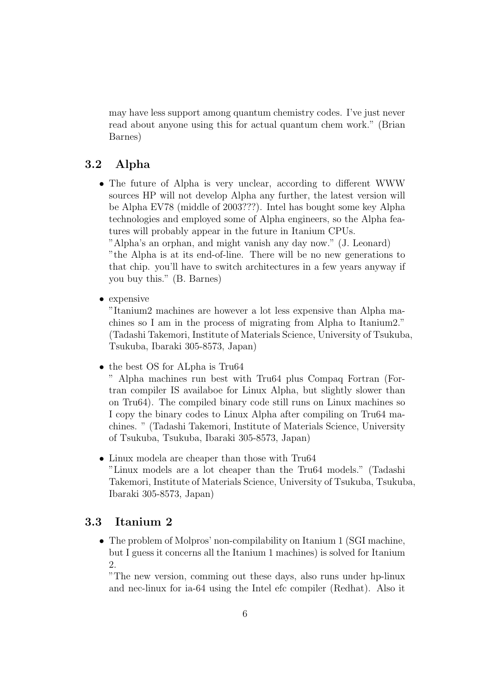may have less support among quantum chemistry codes. I've just never read about anyone using this for actual quantum chem work." (Brian Barnes)

#### 3.2 Alpha

• The future of Alpha is very unclear, according to different WWW sources HP will not develop Alpha any further, the latest version will be Alpha EV78 (middle of 2003???). Intel has bought some key Alpha technologies and employed some of Alpha engineers, so the Alpha features will probably appear in the future in Itanium CPUs.

"Alpha's an orphan, and might vanish any day now." (J. Leonard) "the Alpha is at its end-of-line. There will be no new generations to that chip. you'll have to switch architectures in a few years anyway if you buy this." (B. Barnes)

• expensive

"Itanium2 machines are however a lot less expensive than Alpha machines so I am in the process of migrating from Alpha to Itanium2." (Tadashi Takemori, Institute of Materials Science, University of Tsukuba, Tsukuba, Ibaraki 305-8573, Japan)

• the best OS for ALpha is Tru64

" Alpha machines run best with Tru64 plus Compaq Fortran (Fortran compiler IS availaboe for Linux Alpha, but slightly slower than on Tru64). The compiled binary code still runs on Linux machines so I copy the binary codes to Linux Alpha after compiling on Tru64 machines. " (Tadashi Takemori, Institute of Materials Science, University of Tsukuba, Tsukuba, Ibaraki 305-8573, Japan)

• Linux modela are cheaper than those with Tru64 "Linux models are a lot cheaper than the Tru64 models." (Tadashi Takemori, Institute of Materials Science, University of Tsukuba, Tsukuba, Ibaraki 305-8573, Japan)

#### 3.3 Itanium 2

• The problem of Molpros' non-compilability on Itanium 1 (SGI machine, but I guess it concerns all the Itanium 1 machines) is solved for Itanium  $\mathfrak{D}$ .

"The new version, comming out these days, also runs under hp-linux and nec-linux for ia-64 using the Intel efc compiler (Redhat). Also it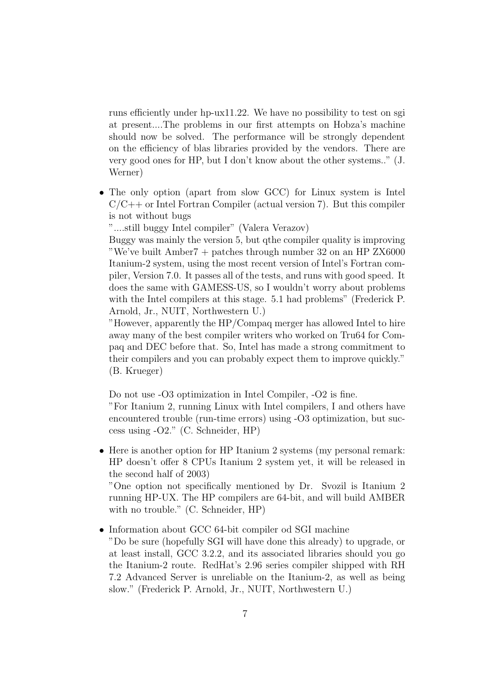runs efficiently under hp-ux11.22. We have no possibility to test on sgi at present....The problems in our first attempts on Hobza's machine should now be solved. The performance will be strongly dependent on the efficiency of blas libraries provided by the vendors. There are very good ones for HP, but I don't know about the other systems.." (J. Werner)

• The only option (apart from slow GCC) for Linux system is Intel  $C/C++$  or Intel Fortran Compiler (actual version 7). But this compiler is not without bugs

"....still buggy Intel compiler" (Valera Verazov)

Buggy was mainly the version 5, but qthe compiler quality is improving "We've built Amber7 + patches through number 32 on an HP ZX6000 Itanium-2 system, using the most recent version of Intel's Fortran compiler, Version 7.0. It passes all of the tests, and runs with good speed. It does the same with GAMESS-US, so I wouldn't worry about problems with the Intel compilers at this stage. 5.1 had problems" (Frederick P. Arnold, Jr., NUIT, Northwestern U.)

"However, apparently the HP/Compaq merger has allowed Intel to hire away many of the best compiler writers who worked on Tru64 for Compaq and DEC before that. So, Intel has made a strong commitment to their compilers and you can probably expect them to improve quickly." (B. Krueger)

Do not use -O3 optimization in Intel Compiler, -O2 is fine.

"For Itanium 2, running Linux with Intel compilers, I and others have encountered trouble (run-time errors) using -O3 optimization, but success using -O2." (C. Schneider, HP)

• Here is another option for HP Itanium 2 systems (my personal remark: HP doesn't offer 8 CPUs Itanium 2 system yet, it will be released in the second half of 2003)

"One option not specifically mentioned by Dr. Svozil is Itanium 2 running HP-UX. The HP compilers are 64-bit, and will build AMBER with no trouble." (C. Schneider, HP)

- Information about GCC 64-bit compiler od SGI machine
	- "Do be sure (hopefully SGI will have done this already) to upgrade, or at least install, GCC 3.2.2, and its associated libraries should you go the Itanium-2 route. RedHat's 2.96 series compiler shipped with RH 7.2 Advanced Server is unreliable on the Itanium-2, as well as being slow." (Frederick P. Arnold, Jr., NUIT, Northwestern U.)